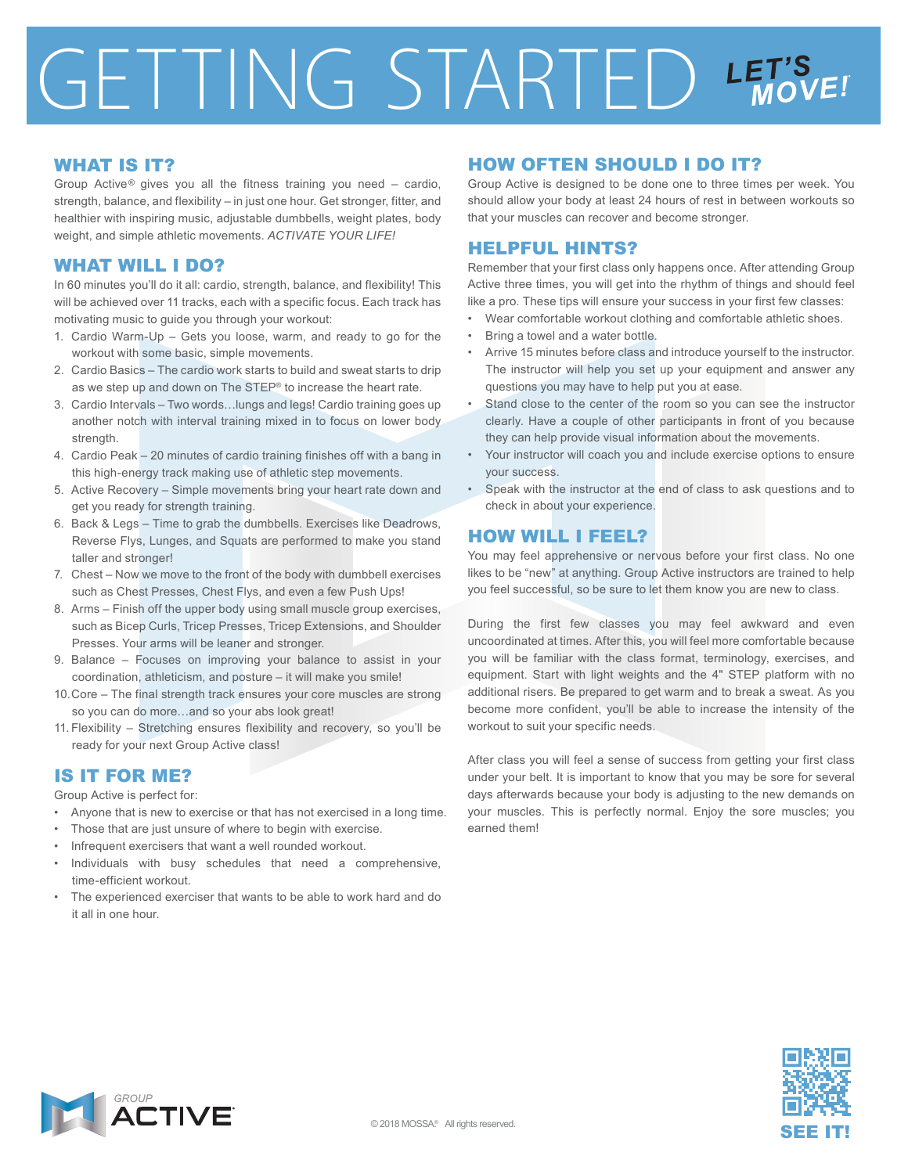# GETTING STARTED LET'S

### WHAT IS IT?

Group Active<sup>®</sup> gives you all the fitness training you need  $-$  cardio, strength, balance, and flexibility – in just one hour. Get stronger, fitter, and healthier with inspiring music, adjustable dumbbells, weight plates, body weight, and simple athletic movements. *ACTIVATE YOUR LIFE!*

#### WHAT WILL I DO?

In 60 minutes you'll do it all: cardio, strength, balance, and flexibility! This will be achieved over 11 tracks, each with a specific focus. Each track has motivating music to guide you through your workout:

- 1. Cardio Warm-Up Gets you loose, warm, and ready to go for the workout with some basic, simple movements.
- 2. Cardio Basics The cardio work starts to build and sweat starts to drip as we step up and down on The STEP® to increase the heart rate.
- 3. Cardio Intervals Two words…lungs and legs! Cardio training goes up another notch with interval training mixed in to focus on lower body strength.
- 4. Cardio Peak 20 minutes of cardio training finishes off with a bang in this high-energy track making use of athletic step movements.
- 5. Active Recovery Simple movements bring your heart rate down and get you ready for strength training.
- 6. Back & Legs Time to grab the dumbbells. Exercises like Deadrows, Reverse Flys, Lunges, and Squats are performed to make you stand taller and stronger!
- 7. Chest Now we move to the front of the body with dumbbell exercises such as Chest Presses, Chest Flys, and even a few Push Ups!
- 8. Arms Finish off the upper body using small muscle group exercises, such as Bicep Curls, Tricep Presses, Tricep Extensions, and Shoulder Presses. Your arms will be leaner and stronger.
- 9. Balance Focuses on improving your balance to assist in your coordination, athleticism, and posture – it will make you smile!
- 10. Core The final strength track ensures your core muscles are strong so you can do more…and so your abs look great!
- 11. Flexibility Stretching ensures flexibility and recovery, so you'll be ready for your next Group Active class!

# IS IT FOR ME?

Group Active is perfect for:

- Anyone that is new to exercise or that has not exercised in a long time.
- Those that are just unsure of where to begin with exercise.
- Infrequent exercisers that want a well rounded workout.
- Individuals with busy schedules that need a comprehensive, time-efficient workout.
- The experienced exerciser that wants to be able to work hard and do it all in one hour.

# HOW OFTEN SHOULD I DO IT?

Group Active is designed to be done one to three times per week. You should allow your body at least 24 hours of rest in between workouts so that your muscles can recover and become stronger.

## HELPFUL HINTS?

Remember that your first class only happens once. After attending Group Active three times, you will get into the rhythm of things and should feel like a pro. These tips will ensure your success in your first few classes:

- Wear comfortable workout clothing and comfortable athletic shoes.
- Bring a towel and a water bottle.
- Arrive 15 minutes before class and introduce yourself to the instructor. The instructor will help you set up your equipment and answer any questions you may have to help put you at ease.
- Stand close to the center of the room so you can see the instructor clearly. Have a couple of other participants in front of you because they can help provide visual information about the movements.
- Your instructor will coach you and include exercise options to ensure your success.
- Speak with the instructor at the end of class to ask questions and to check in about your experience.

### HOW WILL I FEEL?

You may feel apprehensive or nervous before your first class. No one likes to be "new" at anything. Group Active instructors are trained to help you feel successful, so be sure to let them know you are new to class.

During the first few classes you may feel awkward and even uncoordinated at times. After this, you will feel more comfortable because you will be familiar with the class format, terminology, exercises, and equipment. Start with light weights and the 4" STEP platform with no additional risers. Be prepared to get warm and to break a sweat. As you become more confident, you'll be able to increase the intensity of the workout to suit your specific needs.

After class you will feel a sense of success from getting your first class under your belt. It is important to know that you may be sore for several days afterwards because your body is adjusting to the new demands on your muscles. This is perfectly normal. Enjoy the sore muscles; you earned them!